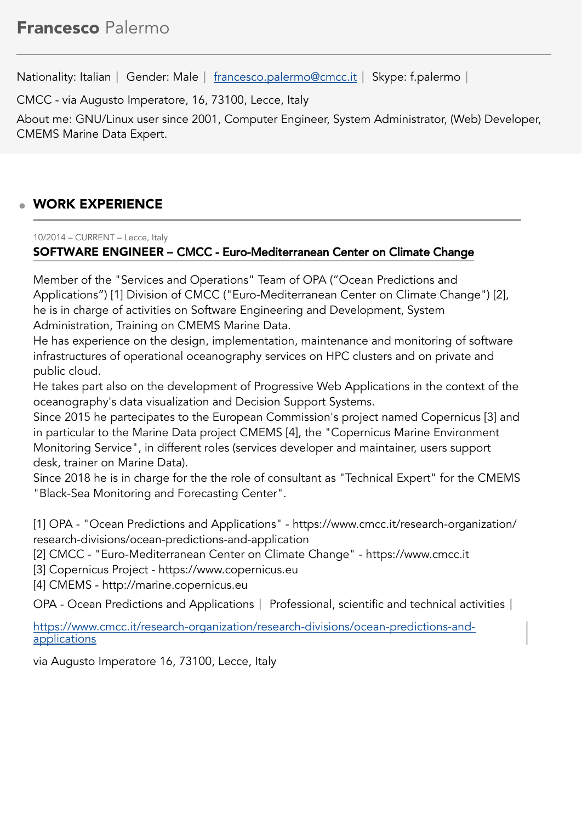Nationality: Italian | Gender: Male | [francesco.palermo@cmcc.it](mailto:francesco.palermo@cmcc.it) | Skype: f.palermo |

CMCC - via Augusto Imperatore, 16, 73100, Lecce, Italy

About me: GNU/Linux user since 2001, Computer Engineer, System Administrator, (Web) Developer, CMEMS Marine Data Expert.

# WORK EXPERIENCE

10/2014 – CURRENT – Lecce, Italy SOFTWARE ENGINEER – CMCC - Euro-Mediterranean Center on Climate Change

Member of the "Services and Operations" Team of OPA ("Ocean Predictions and Applications") [1] Division of CMCC ("Euro-Mediterranean Center on Climate Change") [2], he is in charge of activities on Software Engineering and Development, System Administration, Training on CMEMS Marine Data.

He has experience on the design, implementation, maintenance and monitoring of software infrastructures of operational oceanography services on HPC clusters and on private and public cloud.

He takes part also on the development of Progressive Web Applications in the context of the oceanography's data visualization and Decision Support Systems.

Since 2015 he partecipates to the European Commission's project named Copernicus [3] and in particular to the Marine Data project CMEMS [4], the "Copernicus Marine Environment Monitoring Service", in different roles (services developer and maintainer, users support desk, trainer on Marine Data).

Since 2018 he is in charge for the the role of consultant as "Technical Expert" for the CMEMS "Black-Sea Monitoring and Forecasting Center".

[1] OPA - "Ocean Predictions and Applications" - https://www.cmcc.it/research-organization/ research-divisions/ocean-predictions-and-application

- [2] CMCC "Euro-Mediterranean Center on Climate Change" https://www.cmcc.it
- [3] Copernicus Project https://www.copernicus.eu

[4] CMEMS - http://marine.copernicus.eu

OPA - Ocean Predictions and Applications | Professional, scientific and technical activities |

[https://www.cmcc.it/research-organization/research-divisions/ocean-predictions-and](https://www.cmcc.it/research-organization/research-divisions/ocean-predictions-and-applications)[applications](https://www.cmcc.it/research-organization/research-divisions/ocean-predictions-and-applications)

via Augusto Imperatore 16, 73100, Lecce, Italy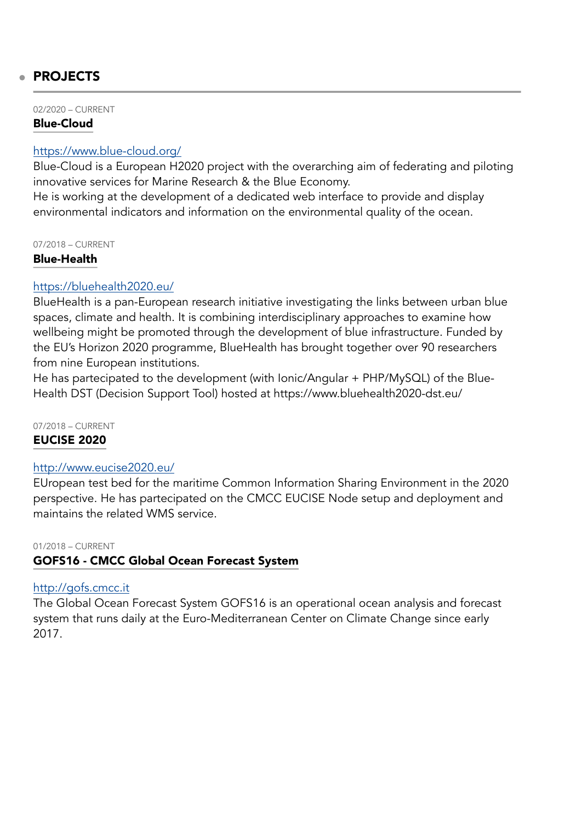# PROJECTS

02/2020 – CURRENT

#### Blue-Cloud

#### <https://www.blue-cloud.org/>

Blue-Cloud is a European H2020 project with the overarching aim of federating and piloting innovative services for Marine Research & the Blue Economy.

He is working at the development of a dedicated web interface to provide and display environmental indicators and information on the environmental quality of the ocean.

07/2018 – CURRENT

#### Blue-Health

#### <https://bluehealth2020.eu/>

BlueHealth is a pan-European research initiative investigating the links between urban blue spaces, climate and health. It is combining interdisciplinary approaches to examine how wellbeing might be promoted through the development of blue infrastructure. Funded by the EU's Horizon 2020 programme, BlueHealth has brought together over 90 researchers from nine European institutions.

He has partecipated to the development (with Ionic/Angular + PHP/MySQL) of the Blue-Health DST (Decision Support Tool) hosted at https://www.bluehealth2020-dst.eu/

07/2018 – CURRENT

#### EUCISE 2020

#### <http://www.eucise2020.eu/>

EUropean test bed for the maritime Common Information Sharing Environment in the 2020 perspective. He has partecipated on the CMCC EUCISE Node setup and deployment and maintains the related WMS service.

# 01/2018 – CURRENT

#### GOFS16 - CMCC Global Ocean Forecast System

#### <http://gofs.cmcc.it>

The Global Ocean Forecast System GOFS16 is an operational ocean analysis and forecast system that runs daily at the Euro-Mediterranean Center on Climate Change since early 2017.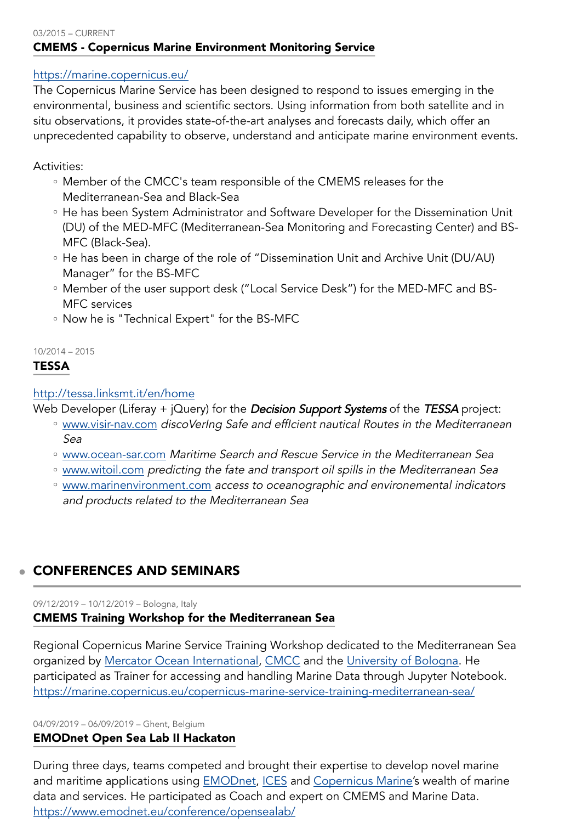#### 03/2015 – CURRENT CMEMS - Copernicus Marine Environment Monitoring Service

# <https://marine.copernicus.eu/>

The Copernicus Marine Service has been designed to respond to issues emerging in the environmental, business and scientific sectors. Using information from both satellite and in situ observations, it provides state-of-the-art analyses and forecasts daily, which offer an unprecedented capability to observe, understand and anticipate marine environment events.

### Activities:

- Member of the CMCC's team responsible of the CMEMS releases for the Mediterranean-Sea and Black-Sea
- He has been System Administrator and Software Developer for the Dissemination Unit (DU) of the MED-MFC (Mediterranean-Sea Monitoring and Forecasting Center) and BS-MFC (Black-Sea).
- He has been in charge of the role of "Dissemination Unit and Archive Unit (DU/AU) Manager" for the BS-MFC
- Member of the user support desk ("Local Service Desk") for the MED-MFC and BS-◦ MFC services
- Now he is "Technical Expert" for the BS-MFC

# 10/2014 – 2015

# TESSA

# <http://tessa.linksmt.it/en/home>

Web Developer (Liferay  $+$  jQuery) for the **Decision Support Systems** of the TESSA project:

- [www.visir-nav.com](http://www.visir-nav.com/) discoVerIng Safe and effIcient nautical Routes in the Mediterranean Sea
- [www.ocean-sar.com](http://www.ocean-sar.com/) Maritime Search and Rescue Service in the Mediterranean Sea
- [www.witoil.com](http://www.witoil.com/) predicting the fate and transport oil spills in the Mediterranean Sea
- [www.marinenvironment.com](http://www.marinenvironment.com/) access to oceanographic and environemental indicators and products related to the Mediterranean Sea

# CONFERENCES AND SEMINARS

#### 09/12/2019 – 10/12/2019 – Bologna, Italy

# CMEMS Training Workshop for the Mediterranean Sea

Regional Copernicus Marine Service Training Workshop dedicated to the Mediterranean Sea organized by [Mercator Ocean International,](https://www.mercator-ocean.fr/en/) [CMCC](https://www.cmcc.it/) and the [University of Bologna](https://www.unibo.it/en). He participated as Trainer for accessing and handling Marine Data through Jupyter Notebook. <https://marine.copernicus.eu/copernicus-marine-service-training-mediterranean-sea/>

#### 04/09/2019 – 06/09/2019 – Ghent, Belgium

#### EMODnet Open Sea Lab II Hackaton

During three days, teams competed and brought their expertise to develop novel marine and maritime applications using **[EMODnet,](http://www.emodnet.eu) [ICES](https://www.ices.dk/Pages/default.aspx)** and [Copernicus Marine](http://marine.copernicus.eu/)'s wealth of marine data and services. He participated as Coach and expert on CMEMS and Marine Data. <https://www.emodnet.eu/conference/opensealab/>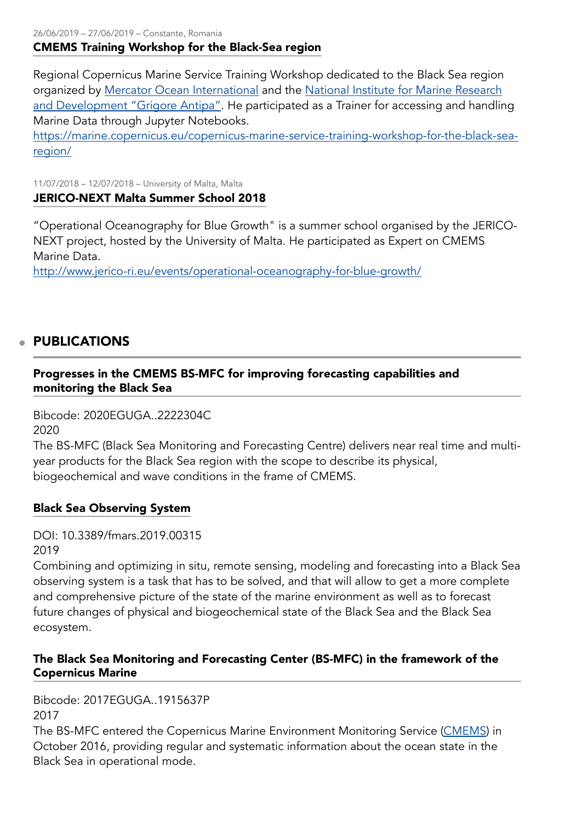26/06/2019 – 27/06/2019 – Constante, Romania CMEMS Training Workshop for the Black-Sea region

Regional Copernicus Marine Service Training Workshop dedicated to the Black Sea region organized by [Mercator Ocean International](https://www.mercator-ocean.fr/) and the [National Institute for Marine Research](http://www.rmri.ro/Home/Home.html?lang=en) [and Development "Grigore Antipa"](http://www.rmri.ro/Home/Home.html?lang=en). He participated as a Trainer for accessing and handling Marine Data through Jupyter Notebooks.

[https://marine.copernicus.eu/copernicus-marine-service-training-workshop-for-the-black-sea](https://marine.copernicus.eu/copernicus-marine-service-training-workshop-for-the-black-sea-region/)[region/](https://marine.copernicus.eu/copernicus-marine-service-training-workshop-for-the-black-sea-region/)

11/07/2018 – 12/07/2018 – University of Malta, Malta JERICO-NEXT Malta Summer School 2018

"Operational Oceanography for Blue Growth" is a summer school organised by the JERICO-NEXT project, hosted by the University of Malta. He participated as Expert on CMEMS Marine Data.

<http://www.jerico-ri.eu/events/operational-oceanography-for-blue-growth/>

# PUBLICATIONS

# Progresses in the CMEMS BS-MFC for improving forecasting capabilities and monitoring the Black Sea

Bibcode: 2020EGUGA..2222304C 2020

The BS-MFC (Black Sea Monitoring and Forecasting Centre) delivers near real time and multiyear products for the Black Sea region with the scope to describe its physical, biogeochemical and wave conditions in the frame of CMEMS.

#### Black Sea Observing System

DOI: 10.3389/fmars.2019.00315 2019

Combining and optimizing in situ, remote sensing, modeling and forecasting into a Black Sea observing system is a task that has to be solved, and that will allow to get a more complete and comprehensive picture of the state of the marine environment as well as to forecast future changes of physical and biogeochemical state of the Black Sea and the Black Sea ecosystem.

# The Black Sea Monitoring and Forecasting Center (BS-MFC) in the framework of the Copernicus Marine

Bibcode: 2017EGUGA..1915637P 2017

The BS-MFC entered the Copernicus Marine Environment Monitoring Service ([CMEMS\)](http://marine.copernicus.eu) in October 2016, providing regular and systematic information about the ocean state in the Black Sea in operational mode.